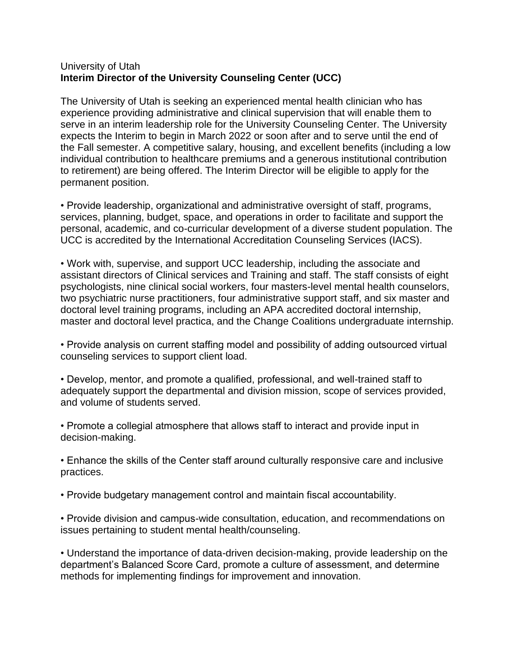## University of Utah **Interim Director of the University Counseling Center (UCC)**

The University of Utah is seeking an experienced mental health clinician who has experience providing administrative and clinical supervision that will enable them to serve in an interim leadership role for the University Counseling Center. The University expects the Interim to begin in March 2022 or soon after and to serve until the end of the Fall semester. A competitive salary, housing, and excellent benefits (including a low individual contribution to healthcare premiums and a generous institutional contribution to retirement) are being offered. The Interim Director will be eligible to apply for the permanent position.

• Provide leadership, organizational and administrative oversight of staff, programs, services, planning, budget, space, and operations in order to facilitate and support the personal, academic, and co-curricular development of a diverse student population. The UCC is accredited by the International Accreditation Counseling Services (IACS).

• Work with, supervise, and support UCC leadership, including the associate and assistant directors of Clinical services and Training and staff. The staff consists of eight psychologists, nine clinical social workers, four masters-level mental health counselors, two psychiatric nurse practitioners, four administrative support staff, and six master and doctoral level training programs, including an APA accredited doctoral internship, master and doctoral level practica, and the Change Coalitions undergraduate internship.

• Provide analysis on current staffing model and possibility of adding outsourced virtual counseling services to support client load.

• Develop, mentor, and promote a qualified, professional, and well-trained staff to adequately support the departmental and division mission, scope of services provided, and volume of students served.

• Promote a collegial atmosphere that allows staff to interact and provide input in decision-making.

• Enhance the skills of the Center staff around culturally responsive care and inclusive practices.

• Provide budgetary management control and maintain fiscal accountability.

• Provide division and campus-wide consultation, education, and recommendations on issues pertaining to student mental health/counseling.

• Understand the importance of data-driven decision-making, provide leadership on the department's Balanced Score Card, promote a culture of assessment, and determine methods for implementing findings for improvement and innovation.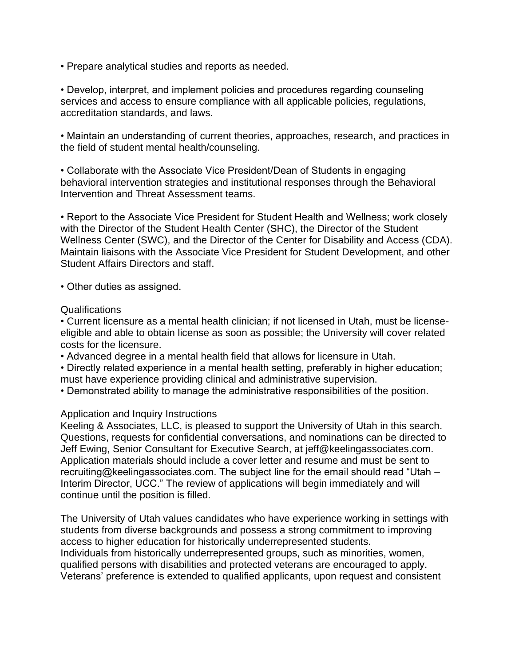• Prepare analytical studies and reports as needed.

• Develop, interpret, and implement policies and procedures regarding counseling services and access to ensure compliance with all applicable policies, regulations, accreditation standards, and laws.

• Maintain an understanding of current theories, approaches, research, and practices in the field of student mental health/counseling.

• Collaborate with the Associate Vice President/Dean of Students in engaging behavioral intervention strategies and institutional responses through the Behavioral Intervention and Threat Assessment teams.

• Report to the Associate Vice President for Student Health and Wellness; work closely with the Director of the Student Health Center (SHC), the Director of the Student Wellness Center (SWC), and the Director of the Center for Disability and Access (CDA). Maintain liaisons with the Associate Vice President for Student Development, and other Student Affairs Directors and staff.

• Other duties as assigned.

## Qualifications

• Current licensure as a mental health clinician; if not licensed in Utah, must be licenseeligible and able to obtain license as soon as possible; the University will cover related costs for the licensure.

• Advanced degree in a mental health field that allows for licensure in Utah.

• Directly related experience in a mental health setting, preferably in higher education; must have experience providing clinical and administrative supervision.

• Demonstrated ability to manage the administrative responsibilities of the position.

## Application and Inquiry Instructions

Keeling & Associates, LLC, is pleased to support the University of Utah in this search. Questions, requests for confidential conversations, and nominations can be directed to Jeff Ewing, Senior Consultant for Executive Search, at jeff@keelingassociates.com. Application materials should include a cover letter and resume and must be sent to recruiting@keelingassociates.com. The subject line for the email should read "Utah – Interim Director, UCC." The review of applications will begin immediately and will continue until the position is filled.

The University of Utah values candidates who have experience working in settings with students from diverse backgrounds and possess a strong commitment to improving access to higher education for historically underrepresented students. Individuals from historically underrepresented groups, such as minorities, women, qualified persons with disabilities and protected veterans are encouraged to apply. Veterans' preference is extended to qualified applicants, upon request and consistent